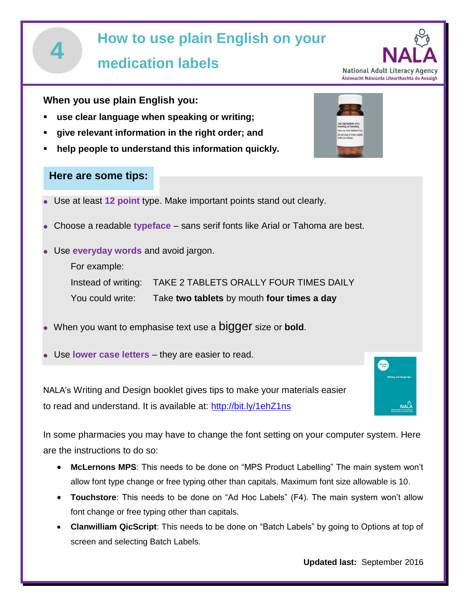## **How to use plain English on your**

## **medication labels 4**

**When you use plain English you:**

- **use clear language when speaking or writing;**
- **give relevant information in the right order; and**
- **help people to understand this information quickly.**

## **Here are some tips:**

- Use at least **12 point** type. Make important points stand out clearly.
- Choose a readable **typeface** sans serif fonts like Arial or Tahoma are best.
- Use **everyday words** and avoid jargon.

For example:

Instead of writing: TAKE 2 TABLETS ORALLY FOUR TIMES DAILY

You could write: Take **two tablets** by mouth **four times a day**

- When you want to emphasise text use a **bigger** size or **bold**.
- Use **lower case letters** they are easier to read.

NALA's Writing and Design booklet gives tips to make your materials easier to read and understand. It is available at:<http://bit.ly/1ehZ1ns>

In some pharmacies you may have to change the font setting on your computer system. Here are the instructions to do so:

- **McLernons MPS**: This needs to be done on "MPS Product Labelling" The main system won't allow font type change or free typing other than capitals. Maximum font size allowable is 10.
- **Touchstore**: This needs to be done on "Ad Hoc Labels" (F4). The main system won't allow font change or free typing other than capitals.
- **Clanwilliam QicScript**: This needs to be done on "Batch Labels" by going to Options at top of screen and selecting Batch Labels.